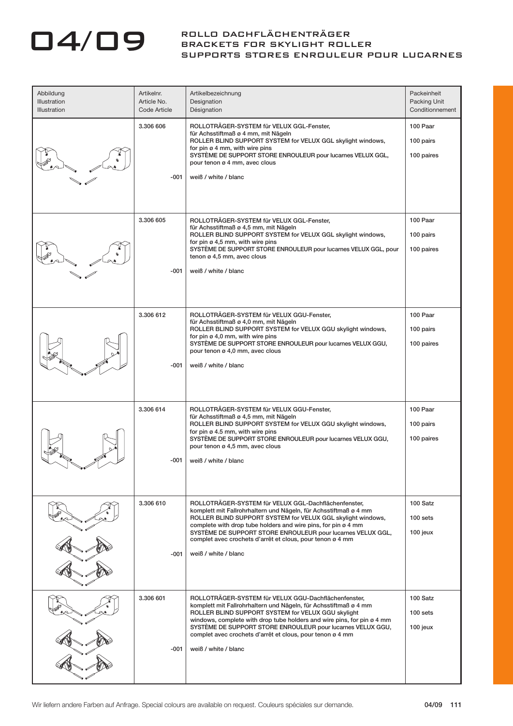## 04/09 ROLLO DACHFLÄCHENTRÄGER BRACKETS FOR SKYLIGHT ROLLER SUPPORTS STORES ENROULEUR POUR LUCARNES

| Abbildung<br>Illustration<br><b>Illustration</b> | Artikelnr.<br>Article No.<br>Code Article | Artikelbezeichnung<br>Designation<br>Désignation                                                                                                                                                                                                                                                                                                                                                             | Packeinheit<br>Packing Unit<br>Conditionnement |
|--------------------------------------------------|-------------------------------------------|--------------------------------------------------------------------------------------------------------------------------------------------------------------------------------------------------------------------------------------------------------------------------------------------------------------------------------------------------------------------------------------------------------------|------------------------------------------------|
|                                                  | 3.306 606<br>-001                         | ROLLOTRÄGER-SYSTEM für VELUX GGL-Fenster,<br>für Achsstiftmaß ø 4 mm, mit Nägeln<br>ROLLER BLIND SUPPORT SYSTEM for VELUX GGL skylight windows,<br>for pin $\varnothing$ 4 mm, with wire pins<br>SYSTÈME DE SUPPORT STORE ENROULEUR pour lucarnes VELUX GGL,<br>pour tenon ø 4 mm, avec clous<br>weiß / white / blanc                                                                                        | 100 Paar<br>100 pairs<br>100 paires            |
|                                                  | 3.306 605<br>-001                         | ROLLOTRÄGER-SYSTEM für VELUX GGL-Fenster,<br>für Achsstiftmaß ø 4,5 mm, mit Nägeln<br>ROLLER BLIND SUPPORT SYSTEM for VELUX GGL skylight windows,<br>for pin $\varnothing$ 4,5 mm, with wire pins<br>SYSTEME DE SUPPORT STORE ENROULEUR pour lucarnes VELUX GGL, pour<br>tenon ø 4,5 mm, avec clous<br>weiß / white / blanc                                                                                  | 100 Paar<br>100 pairs<br>100 paires            |
|                                                  | 3.306 612<br>-001                         | ROLLOTRÄGER-SYSTEM für VELUX GGU-Fenster.<br>für Achsstiftmaß ø 4,0 mm, mit Nägeln<br>ROLLER BLIND SUPPORT SYSTEM for VELUX GGU skylight windows,<br>for pin $\varnothing$ 4,0 mm, with wire pins<br>SYSTÈME DE SUPPORT STORE ENROULEUR pour lucarnes VELUX GGU,<br>pour tenon ø 4,0 mm, avec clous<br>weiß / white / blanc                                                                                  | 100 Paar<br>100 pairs<br>100 paires            |
|                                                  | 3.306 614<br>-001                         | ROLLOTRÄGER-SYSTEM für VELUX GGU-Fenster,<br>für Achsstiftmaß ø 4,5 mm, mit Nägeln<br>ROLLER BLIND SUPPORT SYSTEM for VELUX GGU skylight windows,<br>for pin ø 4.5 mm, with wire pins<br>SYSTÈME DE SUPPORT STORE ENROULEUR pour lucarnes VELUX GGU,<br>pour tenon ø 4,5 mm, avec clous<br>weiß / white / blanc                                                                                              | 100 Paar<br>100 pairs<br>100 paires            |
|                                                  | 3.306 610<br>-001                         | ROLLOTRÄGER-SYSTEM für VELUX GGL-Dachflächenfenster,<br>komplett mit Fallrohrhaltern und Nägeln, für Achsstiftmaß ø 4 mm<br>ROLLER BLIND SUPPORT SYSTEM for VELUX GGL skylight windows,<br>complete with drop tube holders and wire pins, for pin ø 4 mm<br>SYSTÈME DE SUPPORT STORE ENROULEUR pour lucarnes VELUX GGL,<br>complet avec crochets d'arrêt et clous, pour tenon ø 4 mm<br>weiß / white / blanc | 100 Satz<br>$100$ sets<br>100 jeux             |
|                                                  | 3.306 601<br>$-001$                       | ROLLOTRÄGER-SYSTEM für VELUX GGU-Dachflächenfenster,<br>komplett mit Fallrohrhaltern und Nägeln, für Achsstiftmaß ø 4 mm<br>ROLLER BLIND SUPPORT SYSTEM for VELUX GGU skylight<br>windows, complete with drop tube holders and wire pins, for pin ø 4 mm<br>SYSTÈME DE SUPPORT STORE ENROULEUR pour lucarnes VELUX GGU,<br>complet avec crochets d'arrêt et clous, pour tenon ø 4 mm<br>weiß / white / blanc | 100 Satz<br>$100$ sets<br>100 jeux             |